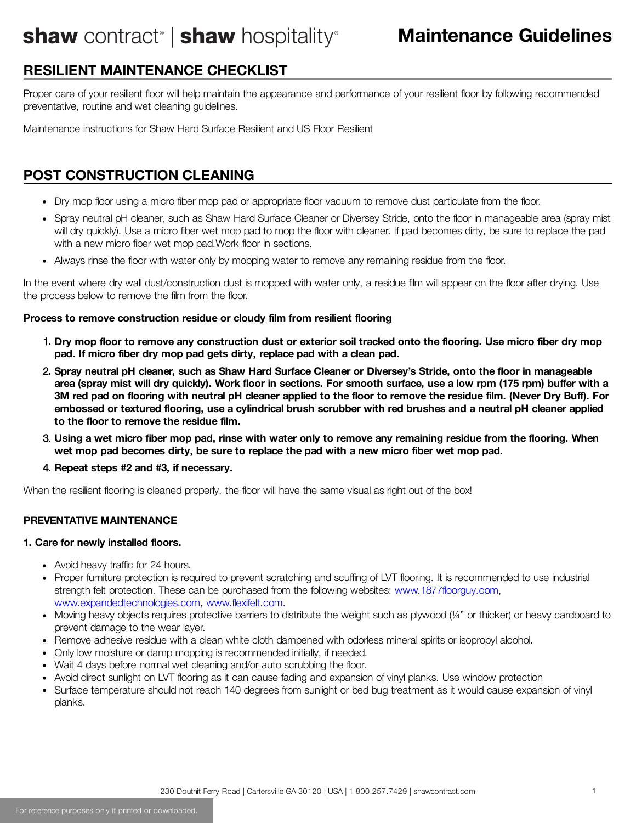## shaw contract<sup>®</sup> | shaw hospitality<sup>®</sup>

### **RESILIENT MAINTENANCE CHECKLIST**

Proper care of your resilient floor will help maintain the appearance and performance of your resilient floor by following recommended preventative, routine and wet cleaning guidelines.

Maintenance instructions for Shaw Hard Surface Resilient and US Floor Resilient

### **POST CONSTRUCTION CLEANING**

- Dry mop floor using a micro fiber mop pad or appropriate floor vacuum to remove dust particulate from the floor.
- Spray neutral pH cleaner, such as Shaw Hard Surface Cleaner or Diversey Stride, onto the floor in manageable area (spray mist will dry quickly). Use a micro fiber wet mop pad to mop the floor with cleaner. If pad becomes dirty, be sure to replace the pad with a new micro fiber wet mop pad.Work floor in sections.
- Always rinse the floor with water only by mopping water to remove any remaining residue from the floor.

In the event where dry wall dust/construction dust is mopped with water only, a residue film will appear on the floor after drying. Use the process below to remove the film from the floor.

#### **Process to remove construction residue or cloudy film from resilient flooring**

- 1. Dry mop floor to remove any construction dust or exterior soil tracked onto the flooring. Use micro fiber dry mop **pad. If micro fiber dry mop pad gets dirty, replace pad with a clean pad.**
- 2. Spray neutral pH cleaner, such as Shaw Hard Surface Cleaner or Diversey's Stride, onto the floor in manageable area (spray mist will dry quickly). Work floor in sections. For smooth surface, use a low rpm (175 rpm) buffer with a 3M red pad on flooring with neutral pH cleaner applied to the floor to remove the residue film. (Never Dry Buff). For embossed or textured flooring, use a cylindrical brush scrubber with red brushes and a neutral pH cleaner applied **to the floor to remove the residue film.**
- 3. Using a wet micro fiber mop pad, rinse with water only to remove any remaining residue from the flooring. When **wet mop pad becomes dirty, be sure to replace the pad with a new micro fiber wet mop pad.**
- 4. **Repeat steps #2 and #3, if necessary.**

When the resilient flooring is cleaned properly, the floor will have the same visual as right out of the box!

#### **PREVENTATIVE MAINTENANCE**

#### **1. Care for newly installed floors.**

- Avoid heavy traffic for 24 hours.
- Proper furniture protection is required to prevent scratching and scuffing of LVT flooring. It is recommended to use industrial strength felt protection. These can be purchased from the following websites: [www.1877floorguy.com](http://www.1877floorguy.com/), [www.expandedtechnologies.com,](http://www.expandedtechnologies.com/) [www.flexifelt.com.](http://www.flexifelt.com/)
- Moving heavy objects requires protective barriers to distribute the weight such as plywood (¼" or thicker) or heavy cardboard to prevent damage to the wear layer.
- Remove adhesive residue with a clean white cloth dampened with odorless mineral spirits or isopropyl alcohol.
- Only low moisture or damp mopping is recommended initially, if needed.
- Wait 4 days before normal wet cleaning and/or auto scrubbing the floor.
- Avoid direct sunlight on LVT flooring as it can cause fading and expansion of vinyl planks. Use window protection
- Surface temperature should not reach 140 degrees from sunlight or bed bug treatment as it would cause expansion of vinyl planks.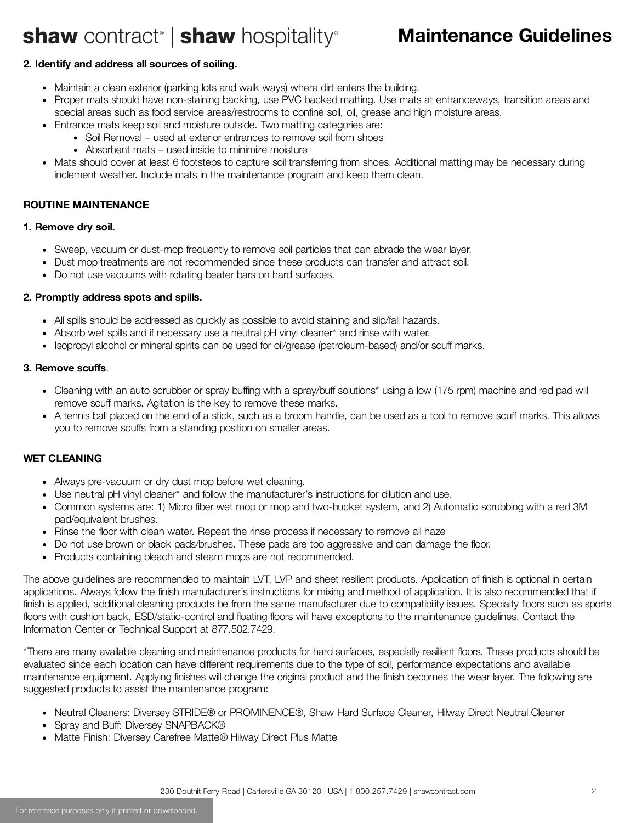# shaw contract<sup>®</sup> | shaw hospitality®

### **Maintenance Guidelines**

#### **2. Identify and address all sources of soiling.**

- Maintain a clean exterior (parking lots and walk ways) where dirt enters the building.
- Proper mats should have non-staining backing, use PVC backed matting. Use mats at entranceways, transition areas and special areas such as food service areas/restrooms to confine soil, oil, grease and high moisture areas.
- Entrance mats keep soil and moisture outside. Two matting categories are:
	- Soil Removal used at exterior entrances to remove soil from shoes
	- Absorbent mats used inside to minimize moisture
- Mats should cover at least 6 footsteps to capture soil transferring from shoes. Additional matting may be necessary during inclement weather. Include mats in the maintenance program and keep them clean.

#### **ROUTINE MAINTENANCE**

#### **1. Remove dry soil.**

- Sweep, vacuum or dust-mop frequently to remove soil particles that can abrade the wear layer.
- Dust mop treatments are not recommended since these products can transfer and attract soil.
- Do not use vacuums with rotating beater bars on hard surfaces.

#### **2. Promptly address spots and spills.**

- All spills should be addressed as quickly as possible to avoid staining and slip/fall hazards.
- Absorb wet spills and if necessary use a neutral pH vinyl cleaner\* and rinse with water.
- Isopropyl alcohol or mineral spirits can be used for oil/grease (petroleum-based) and/or scuff marks.

#### **3. Remove scuffs**.

- Cleaning with an auto scrubber or spray buffing with a spray/buff solutions\* using a low (175 rpm) machine and red pad will remove scuff marks. Agitation is the key to remove these marks.
- A tennis ball placed on the end of a stick, such as a broom handle, can be used as a tool to remove scuff marks. This allows you to remove scuffs from a standing position on smaller areas.

#### **WET CLEANING**

- Always pre-vacuum or dry dust mop before wet cleaning.
- Use neutral pH vinyl cleaner\* and follow the manufacturer's instructions for dilution and use.
- Common systems are: 1) Micro fiber wet mop or mop and two-bucket system, and 2) Automatic scrubbing with a red 3M pad/equivalent brushes.
- Rinse the floor with clean water. Repeat the rinse process if necessary to remove all haze
- Do not use brown or black pads/brushes. These pads are too aggressive and can damage the floor.
- Products containing bleach and steam mops are not recommended.

The above guidelines are recommended to maintain LVT, LVP and sheet resilient products. Application of finish is optional in certain applications. Always follow the finish manufacturer's instructions for mixing and method of application. It is also recommended that if finish is applied, additional cleaning products be from the same manufacturer due to compatibility issues. Specialty floors such as sports floors with cushion back, ESD/static-control and floating floors will have exceptions to the maintenance guidelines. Contact the Information Center or Technical Support at 877.502.7429.

\*There are many available cleaning and maintenance products for hard surfaces, especially resilient floors. These products should be evaluated since each location can have different requirements due to the type of soil, performance expectations and available maintenance equipment. Applying finishes will change the original product and the finish becomes the wear layer. The following are suggested products to assist the maintenance program:

- Neutral Cleaners: Diversey STRIDE® or PROMINENCE®, Shaw Hard Surface Cleaner, Hilway Direct Neutral Cleaner
- Spray and Buff: Diversey SNAPBACK®
- Matte Finish: Diversey Carefree Matte® Hilway Direct Plus Matte